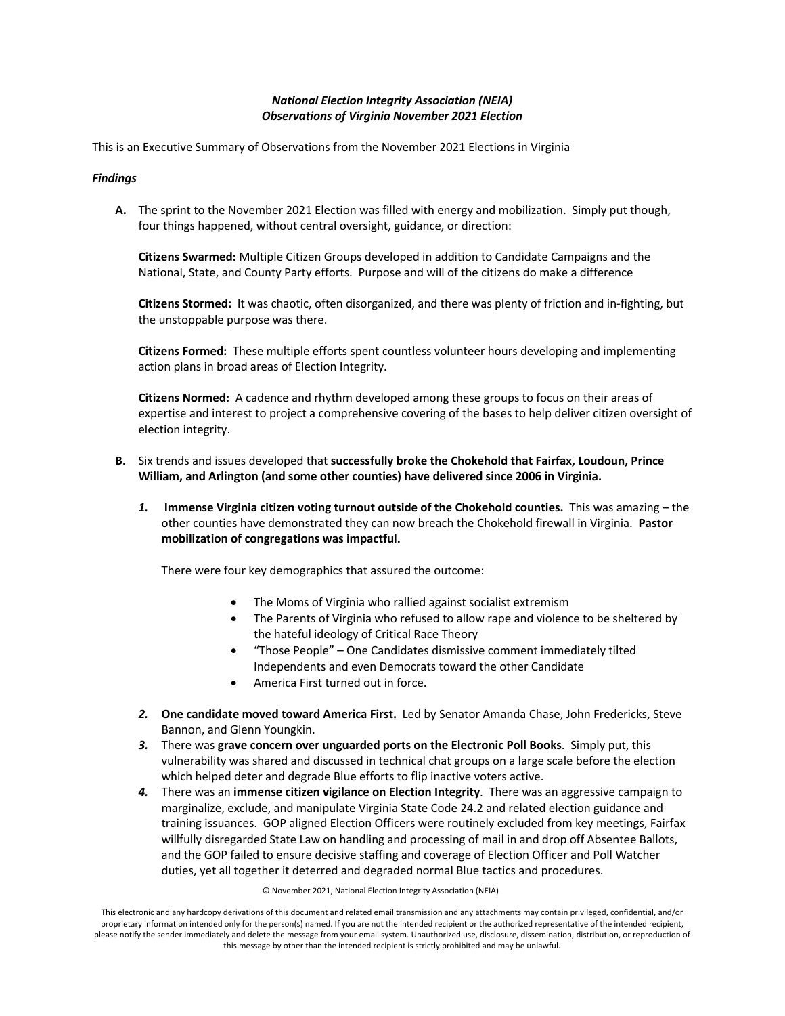# *National Election Integrity Association (NEIA) Observations of Virginia November 2021 Election*

This is an Executive Summary of Observations from the November 2021 Elections in Virginia

## *Findings*

**A.** The sprint to the November 2021 Election was filled with energy and mobilization. Simply put though, four things happened, without central oversight, guidance, or direction:

**Citizens Swarmed:** Multiple Citizen Groups developed in addition to Candidate Campaigns and the National, State, and County Party efforts. Purpose and will of the citizens do make a difference

**Citizens Stormed:** It was chaotic, often disorganized, and there was plenty of friction and in-fighting, but the unstoppable purpose was there.

**Citizens Formed:** These multiple efforts spent countless volunteer hours developing and implementing action plans in broad areas of Election Integrity.

**Citizens Normed:** A cadence and rhythm developed among these groups to focus on their areas of expertise and interest to project a comprehensive covering of the bases to help deliver citizen oversight of election integrity.

- **B.** Six trends and issues developed that **successfully broke the Chokehold that Fairfax, Loudoun, Prince William, and Arlington (and some other counties) have delivered since 2006 in Virginia.**
	- *1.* **Immense Virginia citizen voting turnout outside of the Chokehold counties.** This was amazing the other counties have demonstrated they can now breach the Chokehold firewall in Virginia. **Pastor mobilization of congregations was impactful.**

There were four key demographics that assured the outcome:

- The Moms of Virginia who rallied against socialist extremism
- The Parents of Virginia who refused to allow rape and violence to be sheltered by the hateful ideology of Critical Race Theory
- "Those People" One Candidates dismissive comment immediately tilted Independents and even Democrats toward the other Candidate
- America First turned out in force.
- *2.* **One candidate moved toward America First.** Led by Senator Amanda Chase, John Fredericks, Steve Bannon, and Glenn Youngkin.
- *3.* There was **grave concern over unguarded ports on the Electronic Poll Books**. Simply put, this vulnerability was shared and discussed in technical chat groups on a large scale before the election which helped deter and degrade Blue efforts to flip inactive voters active.
- *4.* There was an **immense citizen vigilance on Election Integrity**. There was an aggressive campaign to marginalize, exclude, and manipulate Virginia State Code 24.2 and related election guidance and training issuances. GOP aligned Election Officers were routinely excluded from key meetings, Fairfax willfully disregarded State Law on handling and processing of mail in and drop off Absentee Ballots, and the GOP failed to ensure decisive staffing and coverage of Election Officer and Poll Watcher duties, yet all together it deterred and degraded normal Blue tactics and procedures.

### © November 2021, National Election Integrity Association (NEIA)

This electronic and any hardcopy derivations of this document and related email transmission and any attachments may contain privileged, confidential, and/or proprietary information intended only for the person(s) named. If you are not the intended recipient or the authorized representative of the intended recipient, please notify the sender immediately and delete the message from your email system. Unauthorized use, disclosure, dissemination, distribution, or reproduction of this message by other than the intended recipient is strictly prohibited and may be unlawful.